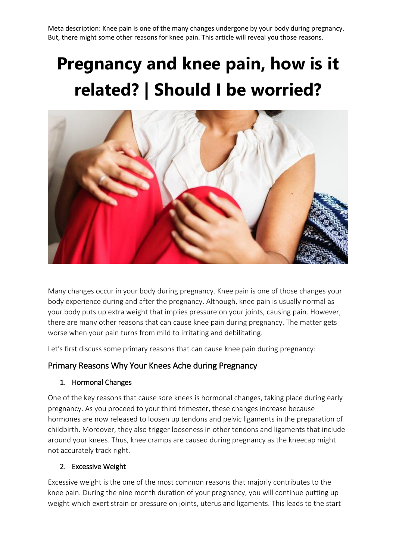Meta description: Knee pain is one of the many changes undergone by your body during pregnancy. But, there might some other reasons for knee pain. This article will reveal you those reasons.

# **Pregnancy and knee pain, how is it related? | Should I be worried?**



Many changes occur in your body during pregnancy. Knee pain is one of those changes your body experience during and after the pregnancy. Although, knee pain is usually normal as your body puts up extra weight that implies pressure on your joints, causing pain. However, there are many other reasons that can cause knee pain during pregnancy. The matter gets worse when your pain turns from mild to irritating and debilitating.

Let's first discuss some primary reasons that can cause knee pain during pregnancy:

#### Primary Reasons Why Your Knees Ache during Pregnancy

#### 1. Hormonal Changes

One of the key reasons that cause sore knees is hormonal changes, taking place during early pregnancy. As you proceed to your third trimester, these changes increase because hormones are now released to loosen up tendons and pelvic ligaments in the preparation of childbirth. Moreover, they also trigger looseness in other tendons and ligaments that include around your knees. Thus, knee cramps are caused during pregnancy as the kneecap might not accurately track right.

#### 2. Excessive Weight

Excessive weight is the one of the most common reasons that majorly contributes to the knee pain. During the nine month duration of your pregnancy, you will continue putting up weight which exert strain or pressure on joints, uterus and ligaments. This leads to the start